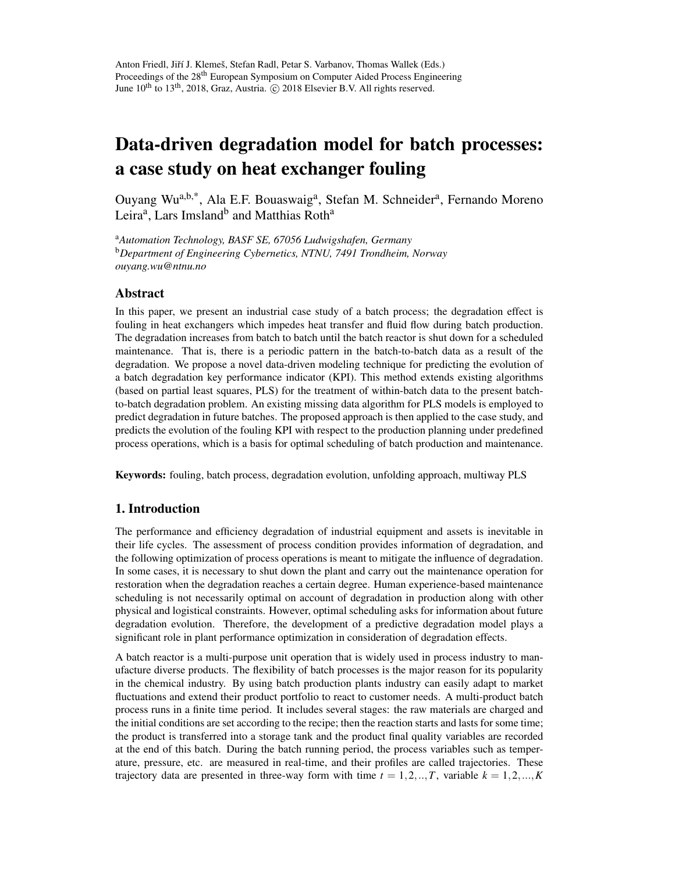# Data-driven degradation model for batch processes: a case study on heat exchanger fouling

Ouyang Wu<sup>a,b,\*</sup>, Ala E.F. Bouaswaig<sup>a</sup>, Stefan M. Schneider<sup>a</sup>, Fernando Moreno Leira<sup>a</sup>, Lars Imsland<sup>b</sup> and Matthias Roth<sup>a</sup>

<sup>a</sup>*Automation Technology, BASF SE, 67056 Ludwigshafen, Germany* <sup>b</sup>*Department of Engineering Cybernetics, NTNU, 7491 Trondheim, Norway ouyang.wu@ntnu.no*

# Abstract

In this paper, we present an industrial case study of a batch process; the degradation effect is fouling in heat exchangers which impedes heat transfer and fluid flow during batch production. The degradation increases from batch to batch until the batch reactor is shut down for a scheduled maintenance. That is, there is a periodic pattern in the batch-to-batch data as a result of the degradation. We propose a novel data-driven modeling technique for predicting the evolution of a batch degradation key performance indicator (KPI). This method extends existing algorithms (based on partial least squares, PLS) for the treatment of within-batch data to the present batchto-batch degradation problem. An existing missing data algorithm for PLS models is employed to predict degradation in future batches. The proposed approach is then applied to the case study, and predicts the evolution of the fouling KPI with respect to the production planning under predefined process operations, which is a basis for optimal scheduling of batch production and maintenance.

Keywords: fouling, batch process, degradation evolution, unfolding approach, multiway PLS

# 1. Introduction

The performance and efficiency degradation of industrial equipment and assets is inevitable in their life cycles. The assessment of process condition provides information of degradation, and the following optimization of process operations is meant to mitigate the influence of degradation. In some cases, it is necessary to shut down the plant and carry out the maintenance operation for restoration when the degradation reaches a certain degree. Human experience-based maintenance scheduling is not necessarily optimal on account of degradation in production along with other physical and logistical constraints. However, optimal scheduling asks for information about future degradation evolution. Therefore, the development of a predictive degradation model plays a significant role in plant performance optimization in consideration of degradation effects.

A batch reactor is a multi-purpose unit operation that is widely used in process industry to manufacture diverse products. The flexibility of batch processes is the major reason for its popularity in the chemical industry. By using batch production plants industry can easily adapt to market fluctuations and extend their product portfolio to react to customer needs. A multi-product batch process runs in a finite time period. It includes several stages: the raw materials are charged and the initial conditions are set according to the recipe; then the reaction starts and lasts for some time; the product is transferred into a storage tank and the product final quality variables are recorded at the end of this batch. During the batch running period, the process variables such as temperature, pressure, etc. are measured in real-time, and their profiles are called trajectories. These trajectory data are presented in three-way form with time  $t = 1, 2, \dots, T$ , variable  $k = 1, 2, \dots, K$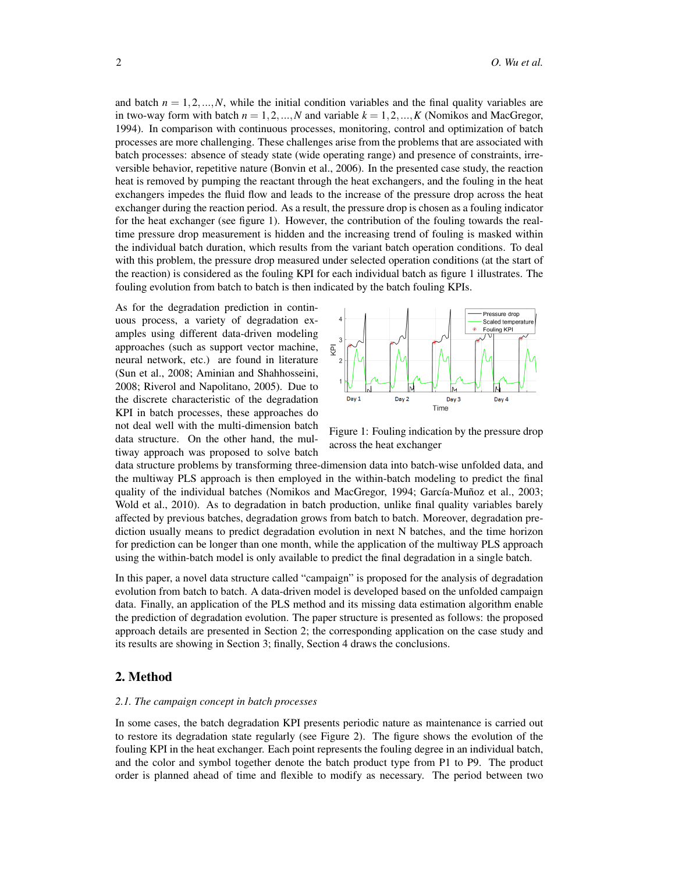and batch  $n = 1, 2, \ldots, N$ , while the initial condition variables and the final quality variables are in two-way form with batch  $n = 1, 2, ..., N$  and variable  $k = 1, 2, ..., K$  (Nomikos and MacGregor, 1994). In comparison with continuous processes, monitoring, control and optimization of batch processes are more challenging. These challenges arise from the problems that are associated with batch processes: absence of steady state (wide operating range) and presence of constraints, irreversible behavior, repetitive nature (Bonvin et al., 2006). In the presented case study, the reaction heat is removed by pumping the reactant through the heat exchangers, and the fouling in the heat exchangers impedes the fluid flow and leads to the increase of the pressure drop across the heat exchanger during the reaction period. As a result, the pressure drop is chosen as a fouling indicator for the heat exchanger (see figure 1). However, the contribution of the fouling towards the realtime pressure drop measurement is hidden and the increasing trend of fouling is masked within the individual batch duration, which results from the variant batch operation conditions. To deal with this problem, the pressure drop measured under selected operation conditions (at the start of the reaction) is considered as the fouling KPI for each individual batch as figure 1 illustrates. The fouling evolution from batch to batch is then indicated by the batch fouling KPIs.

As for the degradation prediction in continuous process, a variety of degradation examples using different data-driven modeling approaches (such as support vector machine, neural network, etc.) are found in literature (Sun et al., 2008; Aminian and Shahhosseini, 2008; Riverol and Napolitano, 2005). Due to the discrete characteristic of the degradation KPI in batch processes, these approaches do not deal well with the multi-dimension batch data structure. On the other hand, the multiway approach was proposed to solve batch



Figure 1: Fouling indication by the pressure drop across the heat exchanger

data structure problems by transforming three-dimension data into batch-wise unfolded data, and the multiway PLS approach is then employed in the within-batch modeling to predict the final quality of the individual batches (Nomikos and MacGregor, 1994; García-Muñoz et al., 2003; Wold et al., 2010). As to degradation in batch production, unlike final quality variables barely affected by previous batches, degradation grows from batch to batch. Moreover, degradation prediction usually means to predict degradation evolution in next N batches, and the time horizon for prediction can be longer than one month, while the application of the multiway PLS approach using the within-batch model is only available to predict the final degradation in a single batch.

In this paper, a novel data structure called "campaign" is proposed for the analysis of degradation evolution from batch to batch. A data-driven model is developed based on the unfolded campaign data. Finally, an application of the PLS method and its missing data estimation algorithm enable the prediction of degradation evolution. The paper structure is presented as follows: the proposed approach details are presented in Section 2; the corresponding application on the case study and its results are showing in Section 3; finally, Section 4 draws the conclusions.

# 2. Method

### *2.1. The campaign concept in batch processes*

In some cases, the batch degradation KPI presents periodic nature as maintenance is carried out to restore its degradation state regularly (see Figure 2). The figure shows the evolution of the fouling KPI in the heat exchanger. Each point represents the fouling degree in an individual batch, and the color and symbol together denote the batch product type from P1 to P9. The product order is planned ahead of time and flexible to modify as necessary. The period between two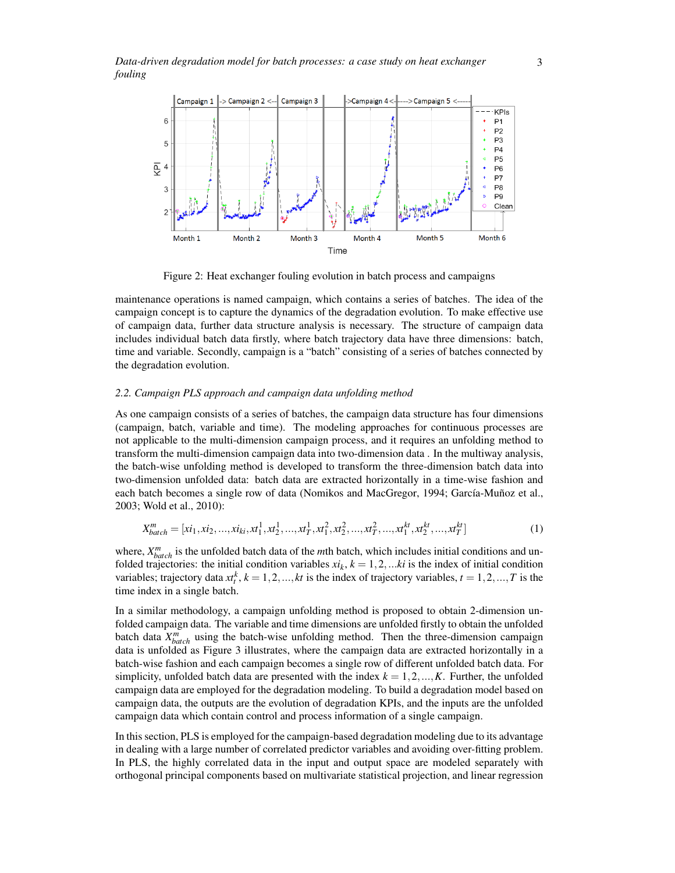

Figure 2: Heat exchanger fouling evolution in batch process and campaigns

maintenance operations is named campaign, which contains a series of batches. The idea of the campaign concept is to capture the dynamics of the degradation evolution. To make effective use of campaign data, further data structure analysis is necessary. The structure of campaign data includes individual batch data firstly, where batch trajectory data have three dimensions: batch, time and variable. Secondly, campaign is a "batch" consisting of a series of batches connected by the degradation evolution.

#### *2.2. Campaign PLS approach and campaign data unfolding method*

As one campaign consists of a series of batches, the campaign data structure has four dimensions (campaign, batch, variable and time). The modeling approaches for continuous processes are not applicable to the multi-dimension campaign process, and it requires an unfolding method to transform the multi-dimension campaign data into two-dimension data . In the multiway analysis, the batch-wise unfolding method is developed to transform the three-dimension batch data into two-dimension unfolded data: batch data are extracted horizontally in a time-wise fashion and each batch becomes a single row of data (Nomikos and MacGregor, 1994; García-Muñoz et al., 2003; Wold et al., 2010):

$$
X_{batch}^{m} = [xi_1, xi_2, ..., xi_{ki}, xt_1^1, xt_2^1, ..., xt_T^1, xt_1^2, xt_2^2, ..., xt_T^2, ..., xt_1^{kt}, xt_2^{kt}, ..., xt_T^{kt}] \tag{1}
$$

where,  $X_{batch}^m$  is the unfolded batch data of the *m*th batch, which includes initial conditions and unfolded trajectories: the initial condition variables  $xi_k$ ,  $k = 1, 2, \dots ki$  is the index of initial condition variables; trajectory data  $xt_t^k$ ,  $k = 1, 2, ..., kt$  is the index of trajectory variables,  $t = 1, 2, ..., T$  is the time index in a single batch.

In a similar methodology, a campaign unfolding method is proposed to obtain 2-dimension unfolded campaign data. The variable and time dimensions are unfolded firstly to obtain the unfolded batch data  $X_{batch}^m$  using the batch-wise unfolding method. Then the three-dimension campaign data is unfolded as Figure 3 illustrates, where the campaign data are extracted horizontally in a batch-wise fashion and each campaign becomes a single row of different unfolded batch data. For simplicity, unfolded batch data are presented with the index  $k = 1, 2, ..., K$ . Further, the unfolded campaign data are employed for the degradation modeling. To build a degradation model based on campaign data, the outputs are the evolution of degradation KPIs, and the inputs are the unfolded campaign data which contain control and process information of a single campaign.

In this section, PLS is employed for the campaign-based degradation modeling due to its advantage in dealing with a large number of correlated predictor variables and avoiding over-fitting problem. In PLS, the highly correlated data in the input and output space are modeled separately with orthogonal principal components based on multivariate statistical projection, and linear regression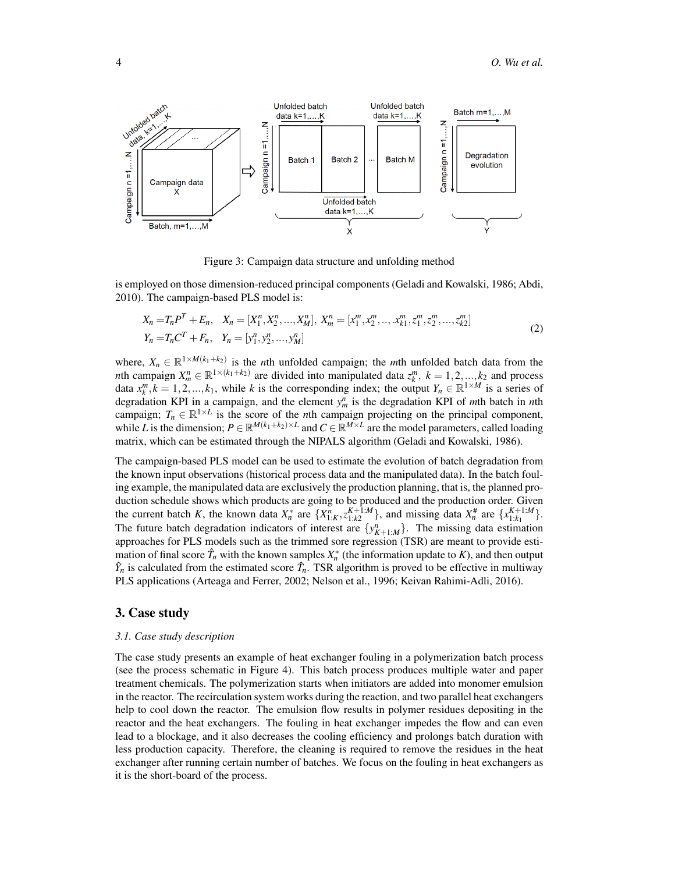

Figure 3: Campaign data structure and unfolding method

is employed on those dimension-reduced principal components (Geladi and Kowalski, 1986; Abdi, 2010). The campaign-based PLS model is:

$$
X_n = T_n P^T + E_n, \quad X_n = [X_1^n, X_2^n, \dots, X_M^n], \quad X_m^n = [x_1^m, x_2^m, \dots, x_{k1}^m, z_1^m, z_2^m, \dots, z_{k2}^m]
$$
\n
$$
Y_n = T_n C^T + F_n, \quad Y_n = [y_1^n, y_2^n, \dots, y_M^n]
$$
\n
$$
(2)
$$

where,  $X_n \in \mathbb{R}^{1 \times M(k_1+k_2)}$  is the *n*th unfolded campaign; the *m*th unfolded batch data from the *n*th campaign  $X_m^n \in \mathbb{R}^{1 \times (k_1 + k_2)}$  are divided into manipulated data  $z_k^m$ ,  $k = 1, 2, ..., k_2$  and process data  $x_k^m$ ,  $k = 1, 2, ..., k_1$ , while *k* is the corresponding index; the output  $Y_n \in \mathbb{R}^{1 \times M}$  is a series of degradation KPI in a campaign, and the element  $y_m^n$  is the degradation KPI of *m*th batch in *n*th campaign;  $T_n \in \mathbb{R}^{1 \times L}$  is the score of the *n*th campaign projecting on the principal component, while *L* is the dimension;  $P \in \mathbb{R}^{M(k_1+k_2)\times L}$  and  $C \in \mathbb{R}^{M\times L}$  are the model parameters, called loading matrix, which can be estimated through the NIPALS algorithm (Geladi and Kowalski, 1986).

The campaign-based PLS model can be used to estimate the evolution of batch degradation from the known input observations (historical process data and the manipulated data). In the batch fouling example, the manipulated data are exclusively the production planning, that is, the planned production schedule shows which products are going to be produced and the production order. Given the current batch K, the known data  $X_n^*$  are  $\{X_{1:K}^n, z_{1:K2}^{K+1:M}\}$ , and missing data  $X_n^*$  are  $\{x_{1:K_1}^{K+1:M}\}$ . The future batch degradation indicators of interest are  $\{y_{K+1:M}^n\}$ . The missing data estimation approaches for PLS models such as the trimmed sore regression (TSR) are meant to provide estimation of final score  $\hat{T}_n$  with the known samples  $X_n^*$  (the information update to *K*), and then output  $\hat{Y}_n$  is calculated from the estimated score  $\hat{T}_n$ . TSR algorithm is proved to be effective in multiway PLS applications (Arteaga and Ferrer, 2002; Nelson et al., 1996; Keivan Rahimi-Adli, 2016).

# 3. Case study

#### *3.1. Case study description*

The case study presents an example of heat exchanger fouling in a polymerization batch process (see the process schematic in Figure 4). This batch process produces multiple water and paper treatment chemicals. The polymerization starts when initiators are added into monomer emulsion in the reactor. The recirculation system works during the reaction, and two parallel heat exchangers help to cool down the reactor. The emulsion flow results in polymer residues depositing in the reactor and the heat exchangers. The fouling in heat exchanger impedes the flow and can even lead to a blockage, and it also decreases the cooling efficiency and prolongs batch duration with less production capacity. Therefore, the cleaning is required to remove the residues in the heat exchanger after running certain number of batches. We focus on the fouling in heat exchangers as it is the short-board of the process.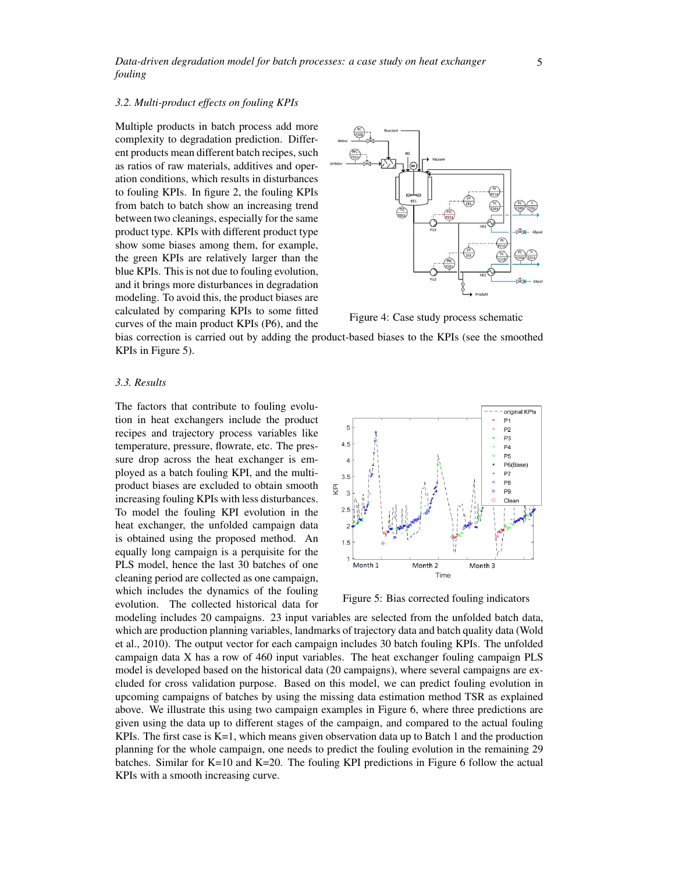*Data-driven degradation model for batch processes: a case study on heat exchanger fouling*

### *3.2. Multi-product effects on fouling KPIs*

Multiple products in batch process add more complexity to degradation prediction. Different products mean different batch recipes, such as ratios of raw materials, additives and operation conditions, which results in disturbances to fouling KPIs. In figure 2, the fouling KPIs from batch to batch show an increasing trend between two cleanings, especially for the same product type. KPIs with different product type show some biases among them, for example, the green KPIs are relatively larger than the blue KPIs. This is not due to fouling evolution, and it brings more disturbances in degradation modeling. To avoid this, the product biases are calculated by comparing KPIs to some fitted curves of the main product KPIs (P6), and the



Figure 4: Case study process schematic

bias correction is carried out by adding the product-based biases to the KPIs (see the smoothed KPIs in Figure 5).

### *3.3. Results*

The factors that contribute to fouling evolution in heat exchangers include the product recipes and trajectory process variables like temperature, pressure, flowrate, etc. The pressure drop across the heat exchanger is employed as a batch fouling KPI, and the multiproduct biases are excluded to obtain smooth increasing fouling KPIs with less disturbances. To model the fouling KPI evolution in the heat exchanger, the unfolded campaign data is obtained using the proposed method. An equally long campaign is a perquisite for the PLS model, hence the last 30 batches of one cleaning period are collected as one campaign, which includes the dynamics of the fouling evolution. The collected historical data for



Figure 5: Bias corrected fouling indicators

modeling includes 20 campaigns. 23 input variables are selected from the unfolded batch data, which are production planning variables, landmarks of trajectory data and batch quality data (Wold et al., 2010). The output vector for each campaign includes 30 batch fouling KPIs. The unfolded campaign data X has a row of 460 input variables. The heat exchanger fouling campaign PLS model is developed based on the historical data (20 campaigns), where several campaigns are excluded for cross validation purpose. Based on this model, we can predict fouling evolution in upcoming campaigns of batches by using the missing data estimation method TSR as explained above. We illustrate this using two campaign examples in Figure 6, where three predictions are given using the data up to different stages of the campaign, and compared to the actual fouling KPIs. The first case is K=1, which means given observation data up to Batch 1 and the production planning for the whole campaign, one needs to predict the fouling evolution in the remaining 29 batches. Similar for K=10 and K=20. The fouling KPI predictions in Figure 6 follow the actual KPIs with a smooth increasing curve.